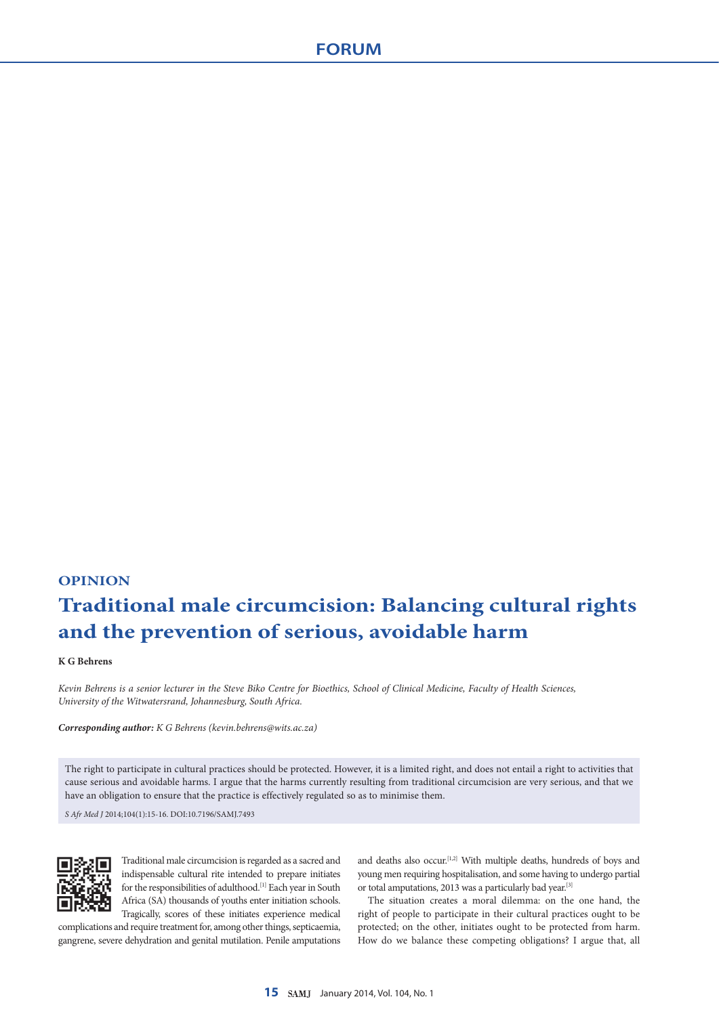## **OPINION Traditional male circumcision: Balancing cultural rights and the prevention of serious, avoidable harm**

## **K G Behrens**

*Kevin Behrens is a senior lecturer in the Steve Biko Centre for Bioethics, School of Clinical Medicine, Faculty of Health Sciences, University of the Witwatersrand, Johannesburg, South Africa.*

*Corresponding author: K G Behrens ([kevin.behrens@wits.ac.za\)](mailto:kevin.behrens@wits.ac.za)*

The right to participate in cultural practices should be protected. However, it is a limited right, and does not entail a right to activities that cause serious and avoidable harms. I argue that the harms currently resulting from traditional circumcision are very serious, and that we have an obligation to ensure that the practice is effectively regulated so as to minimise them.

*S Afr Med J* 2014;104(1):15-16. DOI:10.7196/SAMJ.7493



Traditional male circumcision is regarded as a sacred and indispensable cultural rite intended to prepare initiates for the responsibilities of adulthood.[1] Each year in South Africa (SA) thousands of youths enter initiation schools. Tragically, scores of these initiates experience medical

complications and require treatment for, among other things, septicaemia, gangrene, severe dehydration and genital mutilation. Penile amputations and deaths also occur.<sup>[1,2]</sup> With multiple deaths, hundreds of boys and young men requiring hospitalisation, and some having to undergo partial or total amputations, 2013 was a particularly bad year.[3]

The situation creates a moral dilemma: on the one hand, the right of people to participate in their cultural practices ought to be protected; on the other, initiates ought to be protected from harm. How do we balance these competing obligations? I argue that, all